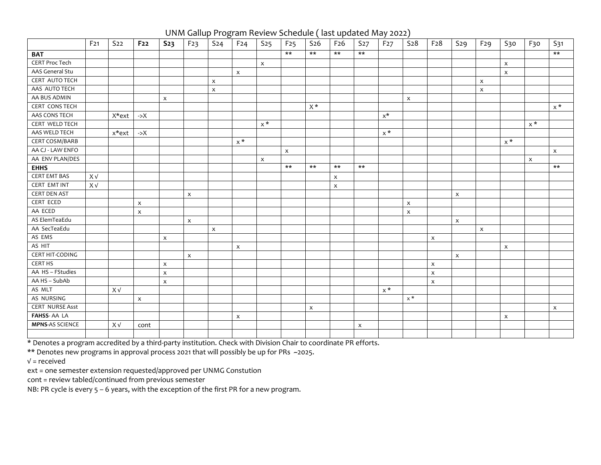UNM Gallup Program Review Schedule ( last updated May 2022)

|                        | F <sub>21</sub> | S <sub>22</sub> | F <sub>22</sub>           | S <sub>23</sub>           | F23                       | S <sub>24</sub> | F <sub>24</sub>           | S <sub>25</sub>           | F <sub>25</sub>           | S <sub>26</sub> | F <sub>26</sub>           | S <sub>27</sub> | F <sub>27</sub> | S <sub>28</sub>           | F <sub>28</sub>    | S29 | F <sub>29</sub>           | S30                       | F <sub>30</sub> | S31                       |
|------------------------|-----------------|-----------------|---------------------------|---------------------------|---------------------------|-----------------|---------------------------|---------------------------|---------------------------|-----------------|---------------------------|-----------------|-----------------|---------------------------|--------------------|-----|---------------------------|---------------------------|-----------------|---------------------------|
| <b>BAT</b>             |                 |                 |                           |                           |                           |                 |                           |                           | $***$                     | $***$           | $***$                     | $***$           |                 |                           |                    |     |                           |                           |                 | $***$                     |
| <b>CERT Proc Tech</b>  |                 |                 |                           |                           |                           |                 |                           | $\boldsymbol{\mathsf{x}}$ |                           |                 |                           |                 |                 |                           |                    |     |                           | $\boldsymbol{\mathsf{x}}$ |                 |                           |
| AAS General Stu        |                 |                 |                           |                           |                           |                 | $\boldsymbol{\mathsf{x}}$ |                           |                           |                 |                           |                 |                 |                           |                    |     |                           | $\pmb{\mathsf{X}}$        |                 |                           |
| <b>CERT AUTO TECH</b>  |                 |                 |                           |                           |                           | X               |                           |                           |                           |                 |                           |                 |                 |                           |                    |     | $\mathsf X$               |                           |                 |                           |
| AAS AUTO TECH          |                 |                 |                           |                           |                           | $\pmb{\times}$  |                           |                           |                           |                 |                           |                 |                 |                           |                    |     | $\mathsf X$               |                           |                 |                           |
| AA BUS ADMIN           |                 |                 |                           | $\boldsymbol{\mathsf{x}}$ |                           |                 |                           |                           |                           |                 |                           |                 |                 | $\boldsymbol{\mathsf{X}}$ |                    |     |                           |                           |                 |                           |
| CERT CONS TECH         |                 |                 |                           |                           |                           |                 |                           |                           |                           | $X^*$           |                           |                 |                 |                           |                    |     |                           |                           |                 | $x^*$                     |
| AAS CONS TECH          |                 | X*ext           | $\rightarrow$ X           |                           |                           |                 |                           |                           |                           |                 |                           |                 | $x^*$           |                           |                    |     |                           |                           |                 |                           |
| <b>CERT WELD TECH</b>  |                 |                 |                           |                           |                           |                 |                           | $x^*$                     |                           |                 |                           |                 |                 |                           |                    |     |                           |                           | $x^*$           |                           |
| AAS WELD TECH          |                 | x*ext           | $\rightarrow$ X           |                           |                           |                 |                           |                           |                           |                 |                           |                 | $x^*$           |                           |                    |     |                           |                           |                 |                           |
| <b>CERT COSM/BARB</b>  |                 |                 |                           |                           |                           |                 | $x^*$                     |                           |                           |                 |                           |                 |                 |                           |                    |     |                           | $x^*$                     |                 |                           |
| AA CJ - LAW ENFO       |                 |                 |                           |                           |                           |                 |                           |                           | $\boldsymbol{\mathsf{X}}$ |                 |                           |                 |                 |                           |                    |     |                           |                           |                 | $\mathsf{x}$              |
| AA ENV PLAN/DES        |                 |                 |                           |                           |                           |                 |                           | $\boldsymbol{\mathsf{x}}$ |                           |                 |                           |                 |                 |                           |                    |     |                           |                           | X               |                           |
| <b>EHHS</b>            |                 |                 |                           |                           |                           |                 |                           |                           | $***$                     | $***$           | $***$                     | $***$           |                 |                           |                    |     |                           |                           |                 | $***$                     |
| <b>CERT EMT BAS</b>    | X V             |                 |                           |                           |                           |                 |                           |                           |                           |                 | $\boldsymbol{\mathsf{x}}$ |                 |                 |                           |                    |     |                           |                           |                 |                           |
| CERT EMT INT           | X V             |                 |                           |                           |                           |                 |                           |                           |                           |                 | $\boldsymbol{\mathsf{x}}$ |                 |                 |                           |                    |     |                           |                           |                 |                           |
| <b>CERT DEN AST</b>    |                 |                 |                           |                           | $\boldsymbol{\mathsf{x}}$ |                 |                           |                           |                           |                 |                           |                 |                 |                           |                    | X   |                           |                           |                 |                           |
| CERT ECED              |                 |                 | $\boldsymbol{\mathsf{x}}$ |                           |                           |                 |                           |                           |                           |                 |                           |                 |                 | $\boldsymbol{\mathsf{x}}$ |                    |     |                           |                           |                 |                           |
| AA ECED                |                 |                 | $\mathsf X$               |                           |                           |                 |                           |                           |                           |                 |                           |                 |                 | $\boldsymbol{\mathsf{X}}$ |                    |     |                           |                           |                 |                           |
| AS ElemTeaEdu          |                 |                 |                           |                           | $\boldsymbol{\mathsf{x}}$ |                 |                           |                           |                           |                 |                           |                 |                 |                           |                    | X   |                           |                           |                 |                           |
| AA SecTeaEdu           |                 |                 |                           |                           |                           | X               |                           |                           |                           |                 |                           |                 |                 |                           |                    |     | $\boldsymbol{\mathsf{x}}$ |                           |                 |                           |
| AS EMS                 |                 |                 |                           | $\boldsymbol{\mathsf{x}}$ |                           |                 |                           |                           |                           |                 |                           |                 |                 |                           | X                  |     |                           |                           |                 |                           |
| AS HIT                 |                 |                 |                           |                           |                           |                 | $\boldsymbol{\mathsf{x}}$ |                           |                           |                 |                           |                 |                 |                           |                    |     |                           | $\pmb{\mathsf{X}}$        |                 |                           |
| CERT HIT-CODING        |                 |                 |                           |                           | $\boldsymbol{\mathsf{x}}$ |                 |                           |                           |                           |                 |                           |                 |                 |                           |                    | X   |                           |                           |                 |                           |
| <b>CERT HS</b>         |                 |                 |                           | $\boldsymbol{\mathsf{x}}$ |                           |                 |                           |                           |                           |                 |                           |                 |                 |                           | $\pmb{\chi}$       |     |                           |                           |                 |                           |
| AA HS - FStudies       |                 |                 |                           | $\mathsf X$               |                           |                 |                           |                           |                           |                 |                           |                 |                 |                           | $\pmb{\times}$     |     |                           |                           |                 |                           |
| AA HS - SubAb          |                 |                 |                           | $\boldsymbol{\mathsf{x}}$ |                           |                 |                           |                           |                           |                 |                           |                 |                 |                           | $\pmb{\mathsf{X}}$ |     |                           |                           |                 |                           |
| AS MLT                 |                 | X V             |                           |                           |                           |                 |                           |                           |                           |                 |                           |                 | $x^*$           |                           |                    |     |                           |                           |                 |                           |
| AS NURSING             |                 |                 | $\pmb{\mathsf{X}}$        |                           |                           |                 |                           |                           |                           |                 |                           |                 |                 | $x^*$                     |                    |     |                           |                           |                 |                           |
| <b>CERT NURSE Asst</b> |                 |                 |                           |                           |                           |                 |                           |                           |                           | X               |                           |                 |                 |                           |                    |     |                           |                           |                 | $\boldsymbol{\mathsf{x}}$ |
| <b>FAHSS-AALA</b>      |                 |                 |                           |                           |                           |                 | $\boldsymbol{\mathsf{x}}$ |                           |                           |                 |                           |                 |                 |                           |                    |     |                           | $\pmb{\mathsf{X}}$        |                 |                           |
| <b>MPNS-AS SCIENCE</b> |                 | XV              | cont                      |                           |                           |                 |                           |                           |                           |                 |                           | $\pmb{\times}$  |                 |                           |                    |     |                           |                           |                 |                           |
|                        |                 |                 |                           |                           |                           |                 |                           |                           |                           |                 |                           |                 |                 |                           |                    |     |                           |                           |                 |                           |

\* Denotes a program accredited by a third-party institution. Check with Division Chair to coordinate PR efforts.

\*\* Denotes new programs in approval process 2021 that will possibly be up for PRs ~2025.

√ = received

ext = one semester extension requested/approved per UNMG Constution

cont = review tabled/continued from previous semester

NB: PR cycle is every 5 – 6 years, with the exception of the first PR for a new program.